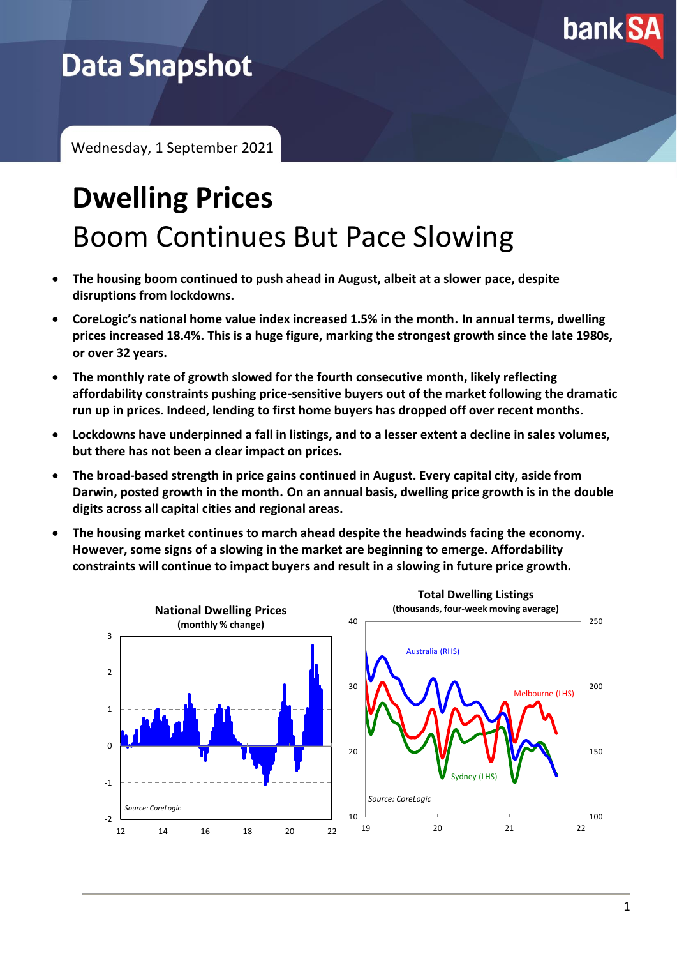

## **Data Snapshot**

Wednesday, 1 September 2021

# **Dwelling Prices** Boom Continues But Pace Slowing

- **The housing boom continued to push ahead in August, albeit at a slower pace, despite disruptions from lockdowns.**
- **CoreLogic's national home value index increased 1.5% in the month. In annual terms, dwelling prices increased 18.4%. This is a huge figure, marking the strongest growth since the late 1980s, or over 32 years.**
- **The monthly rate of growth slowed for the fourth consecutive month, likely reflecting affordability constraints pushing price-sensitive buyers out of the market following the dramatic run up in prices. Indeed, lending to first home buyers has dropped off over recent months.**
- **Lockdowns have underpinned a fall in listings, and to a lesser extent a decline in sales volumes, but there has not been a clear impact on prices.**
- **The broad-based strength in price gains continued in August. Every capital city, aside from Darwin, posted growth in the month. On an annual basis, dwelling price growth is in the double digits across all capital cities and regional areas.**
- **The housing market continues to march ahead despite the headwinds facing the economy. However, some signs of a slowing in the market are beginning to emerge. Affordability constraints will continue to impact buyers and result in a slowing in future price growth.**

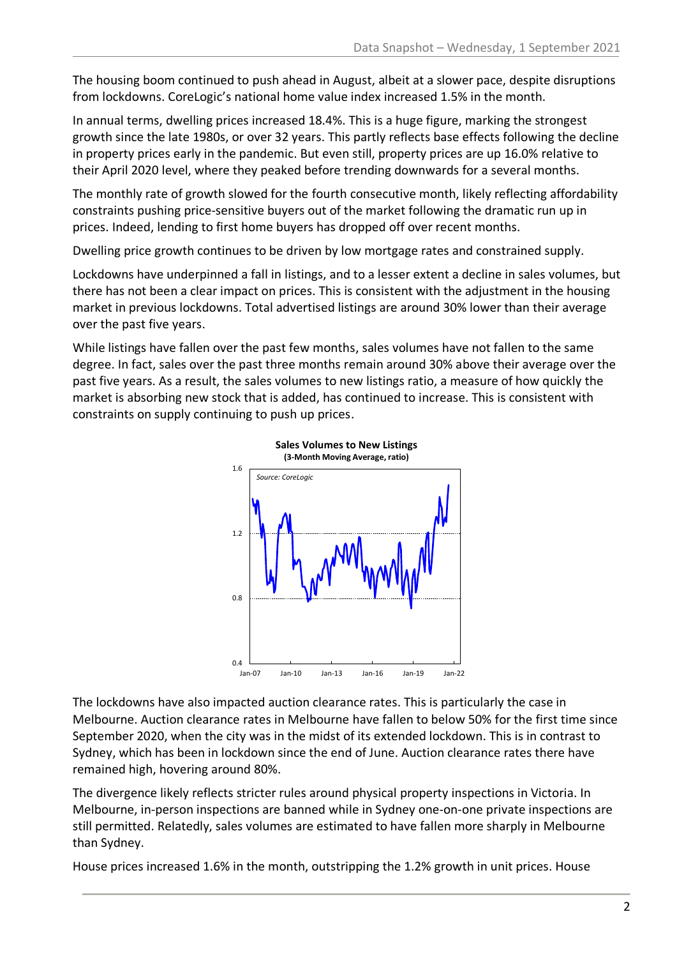The housing boom continued to push ahead in August, albeit at a slower pace, despite disruptions from lockdowns. CoreLogic's national home value index increased 1.5% in the month.

In annual terms, dwelling prices increased 18.4%. This is a huge figure, marking the strongest growth since the late 1980s, or over 32 years. This partly reflects base effects following the decline in property prices early in the pandemic. But even still, property prices are up 16.0% relative to their April 2020 level, where they peaked before trending downwards for a several months.

The monthly rate of growth slowed for the fourth consecutive month, likely reflecting affordability constraints pushing price-sensitive buyers out of the market following the dramatic run up in prices. Indeed, lending to first home buyers has dropped off over recent months.

Dwelling price growth continues to be driven by low mortgage rates and constrained supply.

Lockdowns have underpinned a fall in listings, and to a lesser extent a decline in sales volumes, but there has not been a clear impact on prices. This is consistent with the adjustment in the housing market in previous lockdowns. Total advertised listings are around 30% lower than their average over the past five years.

While listings have fallen over the past few months, sales volumes have not fallen to the same degree. In fact, sales over the past three months remain around 30% above their average over the past five years. As a result, the sales volumes to new listings ratio, a measure of how quickly the market is absorbing new stock that is added, has continued to increase. This is consistent with constraints on supply continuing to push up prices.



The lockdowns have also impacted auction clearance rates. This is particularly the case in Melbourne. Auction clearance rates in Melbourne have fallen to below 50% for the first time since September 2020, when the city was in the midst of its extended lockdown. This is in contrast to Sydney, which has been in lockdown since the end of June. Auction clearance rates there have remained high, hovering around 80%.

The divergence likely reflects stricter rules around physical property inspections in Victoria. In Melbourne, in-person inspections are banned while in Sydney one-on-one private inspections are still permitted. Relatedly, sales volumes are estimated to have fallen more sharply in Melbourne than Sydney.

House prices increased 1.6% in the month, outstripping the 1.2% growth in unit prices. House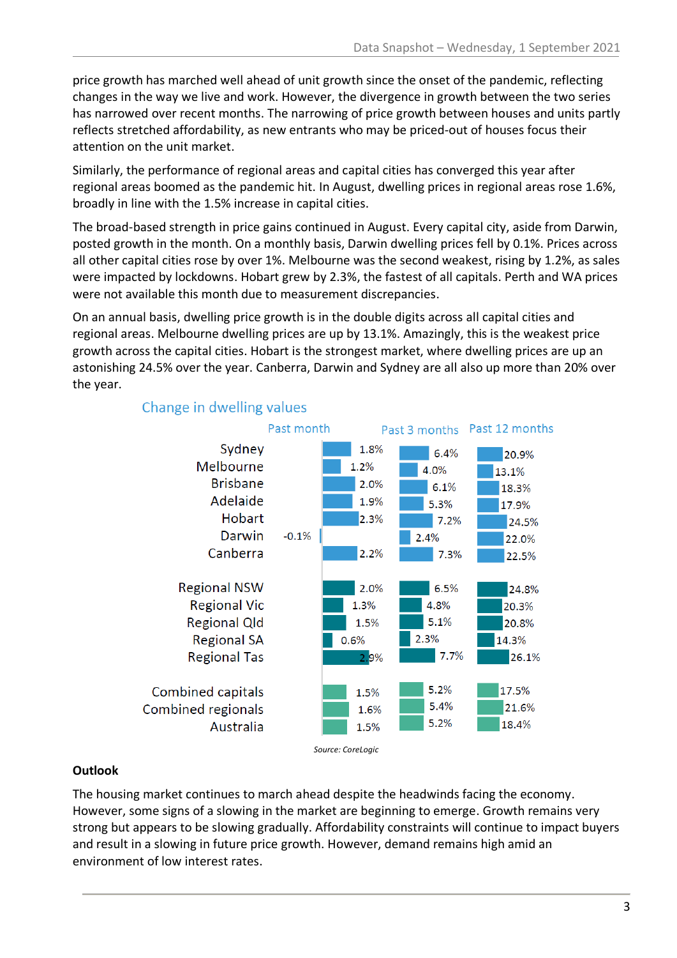price growth has marched well ahead of unit growth since the onset of the pandemic, reflecting changes in the way we live and work. However, the divergence in growth between the two series has narrowed over recent months. The narrowing of price growth between houses and units partly reflects stretched affordability, as new entrants who may be priced-out of houses focus their attention on the unit market.

Similarly, the performance of regional areas and capital cities has converged this year after regional areas boomed as the pandemic hit. In August, dwelling prices in regional areas rose 1.6%, broadly in line with the 1.5% increase in capital cities.

The broad-based strength in price gains continued in August. Every capital city, aside from Darwin, posted growth in the month. On a monthly basis, Darwin dwelling prices fell by 0.1%. Prices across all other capital cities rose by over 1%. Melbourne was the second weakest, rising by 1.2%, as sales were impacted by lockdowns. Hobart grew by 2.3%, the fastest of all capitals. Perth and WA prices were not available this month due to measurement discrepancies.

On an annual basis, dwelling price growth is in the double digits across all capital cities and regional areas. Melbourne dwelling prices are up by 13.1%. Amazingly, this is the weakest price growth across the capital cities. Hobart is the strongest market, where dwelling prices are up an astonishing 24.5% over the year. Canberra, Darwin and Sydney are all also up more than 20% over the year.



#### Change in dwelling values

#### **Outlook**

The housing market continues to march ahead despite the headwinds facing the economy. However, some signs of a slowing in the market are beginning to emerge. Growth remains very strong but appears to be slowing gradually. Affordability constraints will continue to impact buyers and result in a slowing in future price growth. However, demand remains high amid an environment of low interest rates.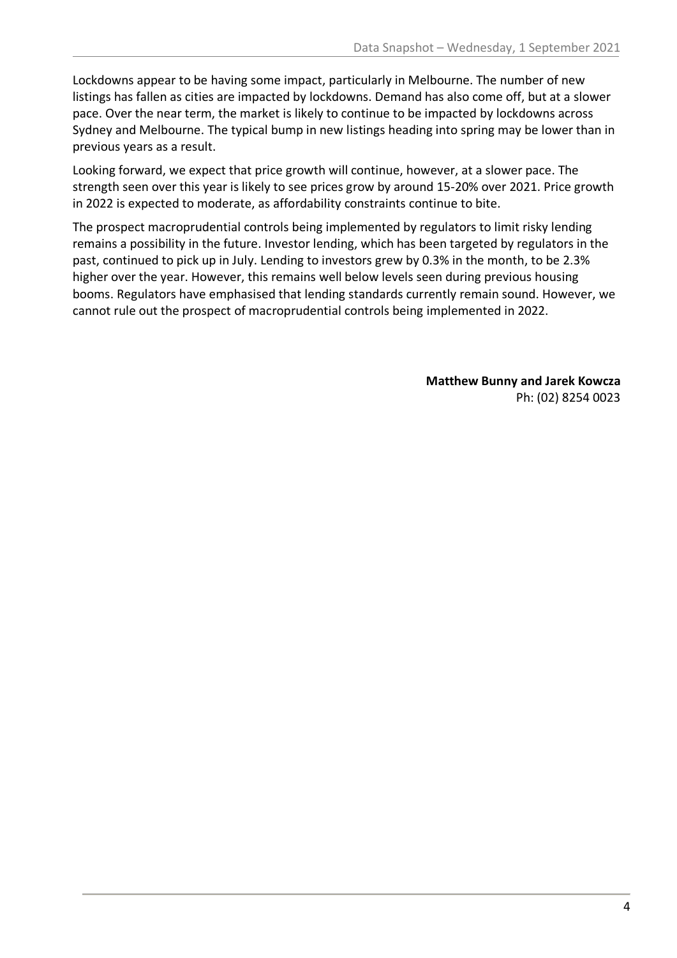Lockdowns appear to be having some impact, particularly in Melbourne. The number of new listings has fallen as cities are impacted by lockdowns. Demand has also come off, but at a slower pace. Over the near term, the market is likely to continue to be impacted by lockdowns across Sydney and Melbourne. The typical bump in new listings heading into spring may be lower than in previous years as a result.

Looking forward, we expect that price growth will continue, however, at a slower pace. The strength seen over this year is likely to see prices grow by around 15-20% over 2021. Price growth in 2022 is expected to moderate, as affordability constraints continue to bite.

The prospect macroprudential controls being implemented by regulators to limit risky lending remains a possibility in the future. Investor lending, which has been targeted by regulators in the past, continued to pick up in July. Lending to investors grew by 0.3% in the month, to be 2.3% higher over the year. However, this remains well below levels seen during previous housing booms. Regulators have emphasised that lending standards currently remain sound. However, we cannot rule out the prospect of macroprudential controls being implemented in 2022.

> **Matthew Bunny and Jarek Kowcza** Ph: (02) 8254 0023